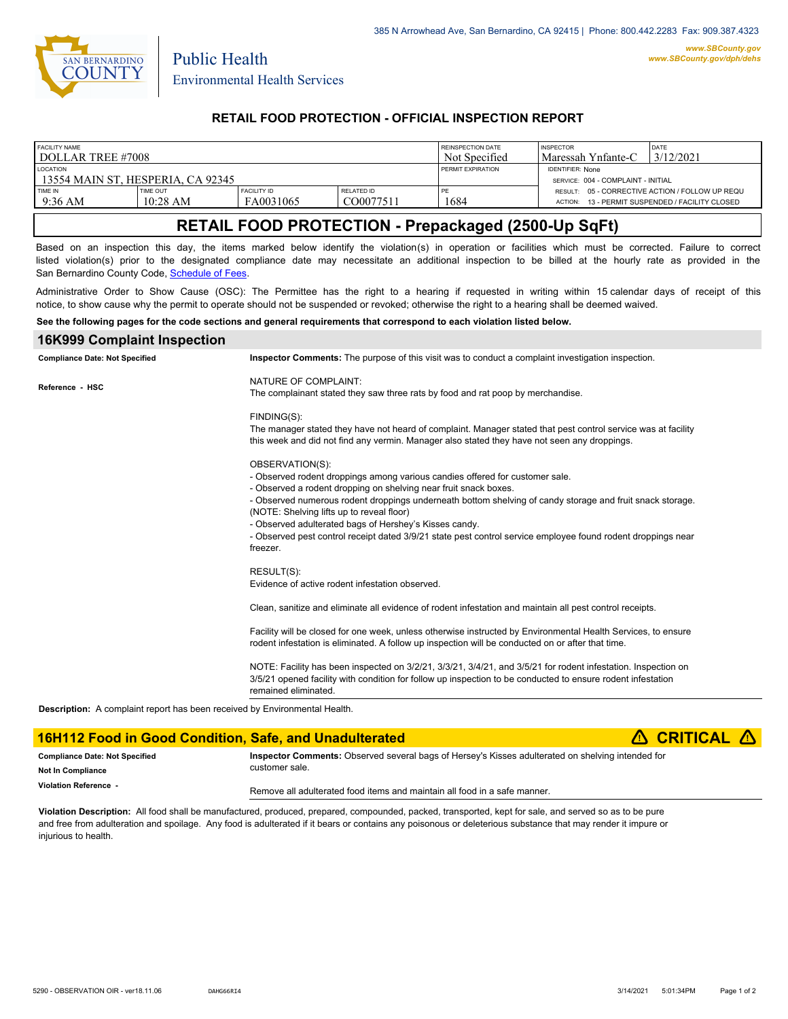

Public Health

## **RETAIL FOOD PROTECTION - OFFICIAL INSPECTION REPORT**

| FACILITY NAME                                                                                                                                                                                                                                                                                                                                                        |          |                                                                                                                                                                                                                                                                                                                                                                                                                                                                                                                     |                                                 | REINSPECTION DATE | <b>INSPECTOR</b><br><b>DATE</b>                                                                                                                                                                                              |  |  |
|----------------------------------------------------------------------------------------------------------------------------------------------------------------------------------------------------------------------------------------------------------------------------------------------------------------------------------------------------------------------|----------|---------------------------------------------------------------------------------------------------------------------------------------------------------------------------------------------------------------------------------------------------------------------------------------------------------------------------------------------------------------------------------------------------------------------------------------------------------------------------------------------------------------------|-------------------------------------------------|-------------------|------------------------------------------------------------------------------------------------------------------------------------------------------------------------------------------------------------------------------|--|--|
| DOLLAR TREE #7008                                                                                                                                                                                                                                                                                                                                                    |          |                                                                                                                                                                                                                                                                                                                                                                                                                                                                                                                     |                                                 | Not Specified     | 3/12/2021<br>Maressah Ynfante-C                                                                                                                                                                                              |  |  |
| LOCATION<br>13554 MAIN ST, HESPERIA, CA 92345                                                                                                                                                                                                                                                                                                                        |          |                                                                                                                                                                                                                                                                                                                                                                                                                                                                                                                     |                                                 | PERMIT EXPIRATION | <b>IDENTIFIER: None</b><br>SERVICE: 004 - COMPLAINT - INITIAL                                                                                                                                                                |  |  |
| TIME IN                                                                                                                                                                                                                                                                                                                                                              | TIME OUT | <b>FACILITY ID</b>                                                                                                                                                                                                                                                                                                                                                                                                                                                                                                  | <b>RELATED ID</b>                               | PE                | RESULT: 05 - CORRECTIVE ACTION / FOLLOW UP REQU                                                                                                                                                                              |  |  |
| 9:36 AM                                                                                                                                                                                                                                                                                                                                                              | 10:28 AM | FA0031065                                                                                                                                                                                                                                                                                                                                                                                                                                                                                                           | CO0077511                                       | 1684              | ACTION: 13 - PERMIT SUSPENDED / FACILITY CLOSED                                                                                                                                                                              |  |  |
| RETAIL FOOD PROTECTION - Prepackaged (2500-Up SqFt)                                                                                                                                                                                                                                                                                                                  |          |                                                                                                                                                                                                                                                                                                                                                                                                                                                                                                                     |                                                 |                   |                                                                                                                                                                                                                              |  |  |
| Based on an inspection this day, the items marked below identify the violation(s) in operation or facilities which must be corrected. Failure to correct<br>listed violation(s) prior to the designated compliance date may necessitate an additional inspection to be billed at the hourly rate as provided in the<br>San Bernardino County Code, Schedule of Fees. |          |                                                                                                                                                                                                                                                                                                                                                                                                                                                                                                                     |                                                 |                   |                                                                                                                                                                                                                              |  |  |
| Administrative Order to Show Cause (OSC): The Permittee has the right to a hearing if requested in writing within 15 calendar days of receipt of this<br>notice, to show cause why the permit to operate should not be suspended or revoked; otherwise the right to a hearing shall be deemed waived.                                                                |          |                                                                                                                                                                                                                                                                                                                                                                                                                                                                                                                     |                                                 |                   |                                                                                                                                                                                                                              |  |  |
| See the following pages for the code sections and general requirements that correspond to each violation listed below.                                                                                                                                                                                                                                               |          |                                                                                                                                                                                                                                                                                                                                                                                                                                                                                                                     |                                                 |                   |                                                                                                                                                                                                                              |  |  |
| <b>16K999 Complaint Inspection</b>                                                                                                                                                                                                                                                                                                                                   |          |                                                                                                                                                                                                                                                                                                                                                                                                                                                                                                                     |                                                 |                   |                                                                                                                                                                                                                              |  |  |
| <b>Compliance Date: Not Specified</b>                                                                                                                                                                                                                                                                                                                                |          | Inspector Comments: The purpose of this visit was to conduct a complaint investigation inspection.                                                                                                                                                                                                                                                                                                                                                                                                                  |                                                 |                   |                                                                                                                                                                                                                              |  |  |
| Reference - HSC                                                                                                                                                                                                                                                                                                                                                      |          | NATURE OF COMPLAINT:<br>The complainant stated they saw three rats by food and rat poop by merchandise.                                                                                                                                                                                                                                                                                                                                                                                                             |                                                 |                   |                                                                                                                                                                                                                              |  |  |
|                                                                                                                                                                                                                                                                                                                                                                      |          | FINDING(S):                                                                                                                                                                                                                                                                                                                                                                                                                                                                                                         |                                                 |                   | The manager stated they have not heard of complaint. Manager stated that pest control service was at facility<br>this week and did not find any vermin. Manager also stated they have not seen any droppings.                |  |  |
|                                                                                                                                                                                                                                                                                                                                                                      |          | OBSERVATION(S):<br>- Observed rodent droppings among various candies offered for customer sale.<br>- Observed a rodent dropping on shelving near fruit snack boxes.<br>- Observed numerous rodent droppings underneath bottom shelving of candy storage and fruit snack storage.<br>(NOTE: Shelving lifts up to reveal floor)<br>- Observed adulterated bags of Hershey's Kisses candy.<br>- Observed pest control receipt dated 3/9/21 state pest control service employee found rodent droppings near<br>freezer. |                                                 |                   |                                                                                                                                                                                                                              |  |  |
|                                                                                                                                                                                                                                                                                                                                                                      |          | RESULT(S):                                                                                                                                                                                                                                                                                                                                                                                                                                                                                                          | Evidence of active rodent infestation observed. |                   |                                                                                                                                                                                                                              |  |  |
|                                                                                                                                                                                                                                                                                                                                                                      |          | Clean, sanitize and eliminate all evidence of rodent infestation and maintain all pest control receipts.                                                                                                                                                                                                                                                                                                                                                                                                            |                                                 |                   |                                                                                                                                                                                                                              |  |  |
|                                                                                                                                                                                                                                                                                                                                                                      |          |                                                                                                                                                                                                                                                                                                                                                                                                                                                                                                                     |                                                 |                   | Facility will be closed for one week, unless otherwise instructed by Environmental Health Services, to ensure<br>rodent infestation is eliminated. A follow up inspection will be conducted on or after that time.           |  |  |
|                                                                                                                                                                                                                                                                                                                                                                      |          | remained eliminated.                                                                                                                                                                                                                                                                                                                                                                                                                                                                                                |                                                 |                   | NOTE: Facility has been inspected on 3/2/21, 3/3/21, 3/4/21, and 3/5/21 for rodent infestation. Inspection on<br>3/5/21 opened facility with condition for follow up inspection to be conducted to ensure rodent infestation |  |  |

**Description:** A complaint report has been received by Environmental Health.

#### **16H112 Food in Good Condition, Safe, and Unadulterated
<b>A** CRITICAL **A Inspector Comments:** Observed several bags of Hersey's Kisses adulterated on shelving intended for customer sale. Remove all adulterated food items and maintain all food in a safe manner. **Compliance Date: Not Specified Violation Reference - Not In Compliance**

**Violation Description:** All food shall be manufactured, produced, prepared, compounded, packed, transported, kept for sale, and served so as to be pure and free from adulteration and spoilage. Any food is adulterated if it bears or contains any poisonous or deleterious substance that may render it impure or injurious to health.